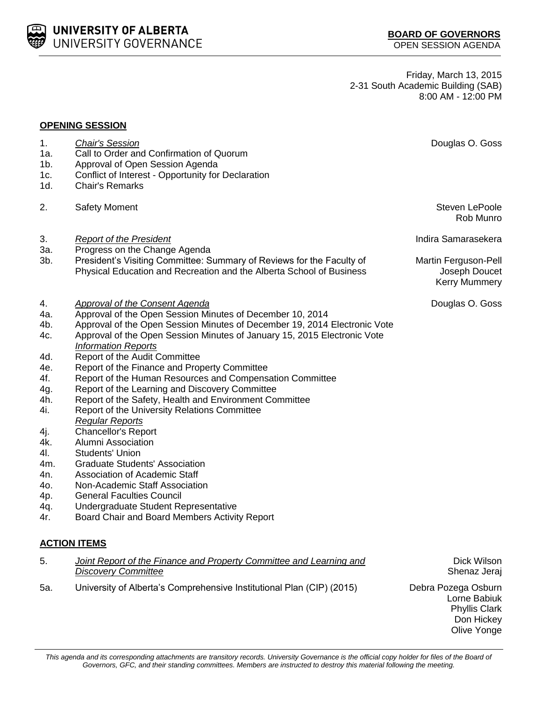This agenda and its corresponding attachments are transitory records. University Governance is the official copy holder for files of the Board of *Governors, GFC, and their standing committees. Members are instructed to destroy this material following the meeting.*

**UNIVERSITY OF ALBERTA** UNIVERSITY GOVERNANCE

- 1a. Call to Order and Confirmation of Quorum 1b. Approval of Open Session Agenda
- 1c. Conflict of Interest Opportunity for Declaration
- 1d. Chair's Remarks
- 2. Safety Moment Steven LePoole and Steven LePoole and Steven LePoole and Steven LePoole
- 3. *Report of the President* Indira Samarasekera
- 3a. Progress on the Change Agenda
- 3b. President's Visiting Committee: Summary of Reviews for the Faculty of Physical Education and Recreation and the Alberta School of Business
- 4. *Approval of the Consent Agenda* Douglas O. Goss
- 4a. Approval of the Open Session Minutes of December 10, 2014
- 4b. Approval of the Open Session Minutes of December 19, 2014 Electronic Vote
- 4c. Approval of the Open Session Minutes of January 15, 2015 Electronic Vote *Information Reports*
- 4d. Report of the Audit Committee
- 4e. Report of the Finance and Property Committee
- 4f. Report of the Human Resources and Compensation Committee
- 4g. Report of the Learning and Discovery Committee
- 4h. Report of the Safety, Health and Environment Committee
- 4i. Report of the University Relations Committee
	- *Regular Reports*
- 4j. Chancellor's Report
- 4k. Alumni Association
- 4l. Students' Union
- 4m. Graduate Students' Association
- 4n. Association of Academic Staff
- 4o. Non-Academic Staff Association
- 4p. General Faculties Council
- 4q. Undergraduate Student Representative
- 4r. Board Chair and Board Members Activity Report

## **ACTION ITEMS**

| 5.  | Joint Report of the Finance and Property Committee and Learning and   | Dick Wilson         |
|-----|-----------------------------------------------------------------------|---------------------|
|     | Discovery Committee                                                   | Shenaz Jeraj        |
| 5а. | University of Alberta's Comprehensive Institutional Plan (CIP) (2015) | Debra Pozega Osburn |

**BOARD OF GOVERNORS** OPEN SESSION AGENDA

Friday, March 13, 2015 2-31 South Academic Building (SAB) 8:00 AM - 12:00 PM

Rob Munro

Martin Ferguson-Pell Joseph Doucet Kerry Mummery

Lorne Babiuk Phyllis Clark Don Hickey Olive Yonge

## 1. *Chair's Session* Douglas O. Goss